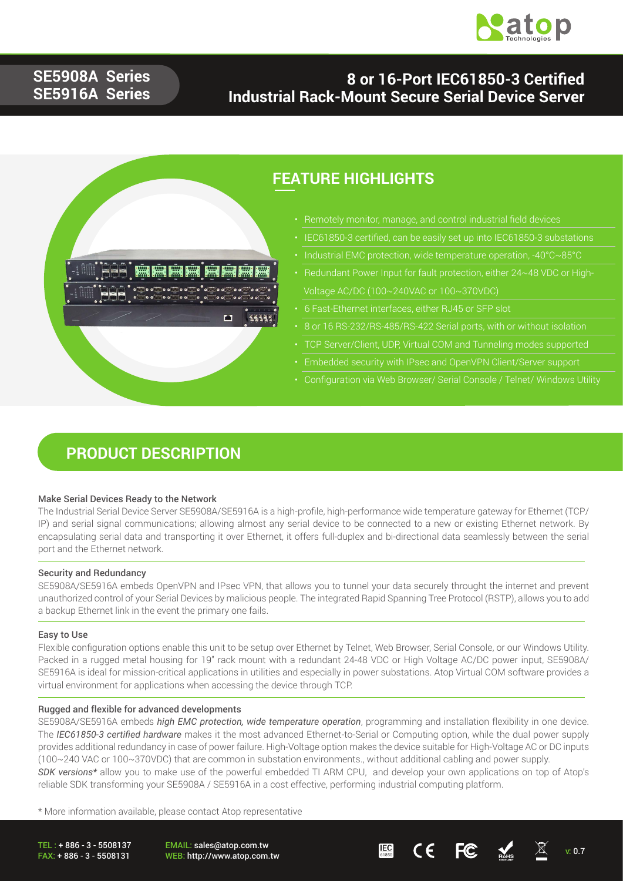

## **SE5908A Series SE5916A Series**

### **8 or 16-Port IEC61850-3 Certified Industrial Rack-Mount Secure Serial Device Server**



## **FEATURE HIGHLIGHTS**

- Remotely monitor, manage, and control industrial field devices
- IEC61850-3 certified, can be easily set up into IEC61850-3 substations
- 
- Voltage AC/DC (100~240VAC or 100~370VDC)
- 6 Fast-Ethernet interfaces, either RJ45 or SFP slot
- 8 or 16 RS-232/RS-485/RS-422 Serial ports, with or without isolation
- TCP Server/Client, UDP, Virtual COM and Tunneling modes supported
- Embedded security with IPsec and OpenVPN Client/Server support
- 

### **PRODUCT DESCRIPTION**

#### Make Serial Devices Ready to the Network

The Industrial Serial Device Server SE5908A/SE5916A is a high-profile, high-performance wide temperature gateway for Ethernet (TCP/ IP) and serial signal communications; allowing almost any serial device to be connected to a new or existing Ethernet network. By encapsulating serial data and transporting it over Ethernet, it offers full-duplex and bi-directional data seamlessly between the serial port and the Ethernet network.

#### Security and Redundancy

SE5908A/SE5916A embeds OpenVPN and IPsec VPN, that allows you to tunnel your data securely throught the internet and prevent unauthorized control of your Serial Devices by malicious people. The integrated Rapid Spanning Tree Protocol (RSTP), allows you to add a backup Ethernet link in the event the primary one fails.

#### Easy to Use

Flexible configuration options enable this unit to be setup over Ethernet by Telnet, Web Browser, Serial Console, or our Windows Utility. Packed in a rugged metal housing for 19" rack mount with a redundant 24-48 VDC or High Voltage AC/DC power input, SE5908A/ SE5916A is ideal for mission-critical applications in utilities and especially in power substations. Atop Virtual COM software provides a virtual environment for applications when accessing the device through TCP.

#### Rugged and flexible for advanced developments

SE5908A/SE5916A embeds *high EMC protection, wide temperature operation*, programming and installation flexibility in one device. The *IEC61850-3 certified hardware* makes it the most advanced Ethernet-to-Serial or Computing option, while the dual power supply provides additional redundancy in case of power failure. High-Voltage option makes the device suitable for High-Voltage AC or DC inputs (100~240 VAC or 100~370VDC) that are common in substation environments., without additional cabling and power supply. *SDK versions\** allow you to make use of the powerful embedded TI ARM CPU, and develop your own applications on top of Atop's reliable SDK transforming your SE5908A / SE5916A in a cost effective, performing industrial computing platform.

\* More information available, please contact Atop representative

TEL : + 886 - 3 - 5508137 FAX: + 886 - 3 - 5508131

EMAIL: sales@atop.com.tw

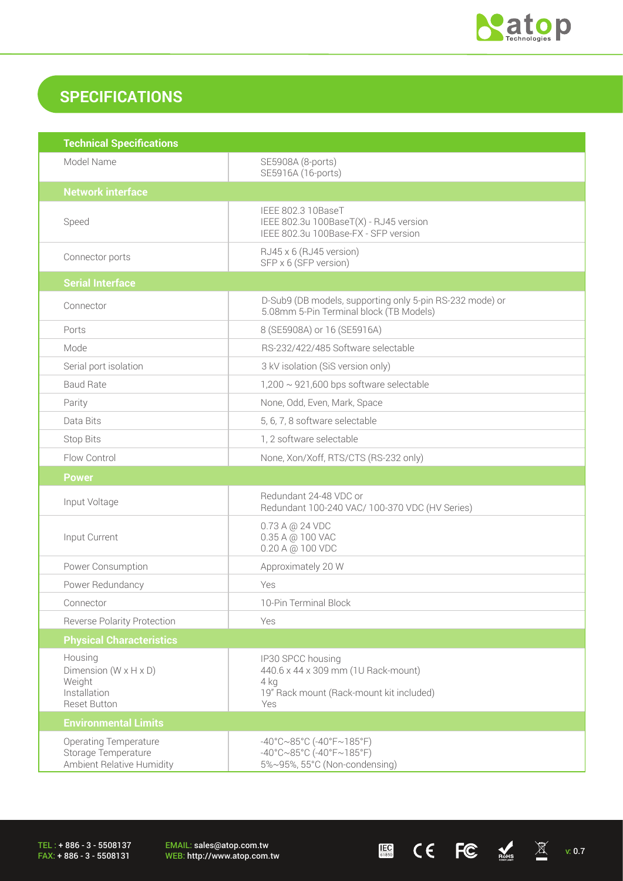

 $\begin{array}{ccccc} \mathbf{H} & \mathbf{H} & \mathbf{H} & \mathbf{H} & \mathbf{H} & \mathbf{H} & \mathbf{H} & \mathbf{H} & \mathbf{H} & \mathbf{H} & \mathbf{H} & \mathbf{H} & \mathbf{H} & \mathbf{H} & \mathbf{H} & \mathbf{H} & \mathbf{H} & \mathbf{H} & \mathbf{H} & \mathbf{H} & \mathbf{H} & \mathbf{H} & \mathbf{H} & \mathbf{H} & \mathbf{H} & \mathbf{H} & \mathbf{H} & \mathbf{H} & \mathbf{H} & \mathbf{H} & \math$ 

## **SPECIFICATIONS**

| <b>Technical Specifications</b>                                                                 |                                                                                                                                       |
|-------------------------------------------------------------------------------------------------|---------------------------------------------------------------------------------------------------------------------------------------|
| Model Name                                                                                      | SE5908A (8-ports)<br>SE5916A (16-ports)                                                                                               |
| <b>Network interface</b>                                                                        |                                                                                                                                       |
| Speed                                                                                           | IEEE 802.3 10BaseT<br>IEEE 802.3u 100BaseT(X) - RJ45 version<br>IEEE 802.3u 100Base-FX - SFP version                                  |
| Connector ports                                                                                 | RJ45 x 6 (RJ45 version)<br>SFP x 6 (SFP version)                                                                                      |
| <b>Serial Interface</b>                                                                         |                                                                                                                                       |
| Connector                                                                                       | D-Sub9 (DB models, supporting only 5-pin RS-232 mode) or<br>5.08mm 5-Pin Terminal block (TB Models)                                   |
| Ports                                                                                           | 8 (SE5908A) or 16 (SE5916A)                                                                                                           |
| Mode                                                                                            | RS-232/422/485 Software selectable                                                                                                    |
| Serial port isolation                                                                           | 3 kV isolation (SiS version only)                                                                                                     |
| <b>Baud Rate</b>                                                                                | $1,200 \sim 921,600$ bps software selectable                                                                                          |
| Parity                                                                                          | None, Odd, Even, Mark, Space                                                                                                          |
| Data Bits                                                                                       | 5, 6, 7, 8 software selectable                                                                                                        |
| Stop Bits                                                                                       | 1, 2 software selectable                                                                                                              |
| Flow Control                                                                                    | None, Xon/Xoff, RTS/CTS (RS-232 only)                                                                                                 |
| <b>Power</b>                                                                                    |                                                                                                                                       |
| Input Voltage                                                                                   | Redundant 24-48 VDC or<br>Redundant 100-240 VAC/ 100-370 VDC (HV Series)                                                              |
| Input Current                                                                                   | 0.73 A @ 24 VDC<br>0.35 A @ 100 VAC<br>0.20 A @ 100 VDC                                                                               |
| Power Consumption                                                                               | Approximately 20 W                                                                                                                    |
| Power Redundancy                                                                                | Yes                                                                                                                                   |
| Connector                                                                                       | 10-Pin Terminal Block                                                                                                                 |
| <b>Reverse Polarity Protection</b>                                                              | Yes                                                                                                                                   |
| <b>Physical Characteristics</b>                                                                 |                                                                                                                                       |
| Housing<br>Dimension ( $W \times H \times D$ )<br>Weight<br>Installation<br><b>Reset Button</b> | IP30 SPCC housing<br>440.6 x 44 x 309 mm (1U Rack-mount)<br>4 kg<br>19" Rack mount (Rack-mount kit included)<br>Yes                   |
| <b>Environmental Limits</b>                                                                     |                                                                                                                                       |
| <b>Operating Temperature</b><br>Storage Temperature<br>Ambient Relative Humidity                | $-40^{\circ}$ C $\sim$ 85°C (-40°F $\sim$ 185°F)<br>$-40^{\circ}$ C $\sim$ 85°C (-40°F $\sim$ 185°F)<br>5%~95%, 55°C (Non-condensing) |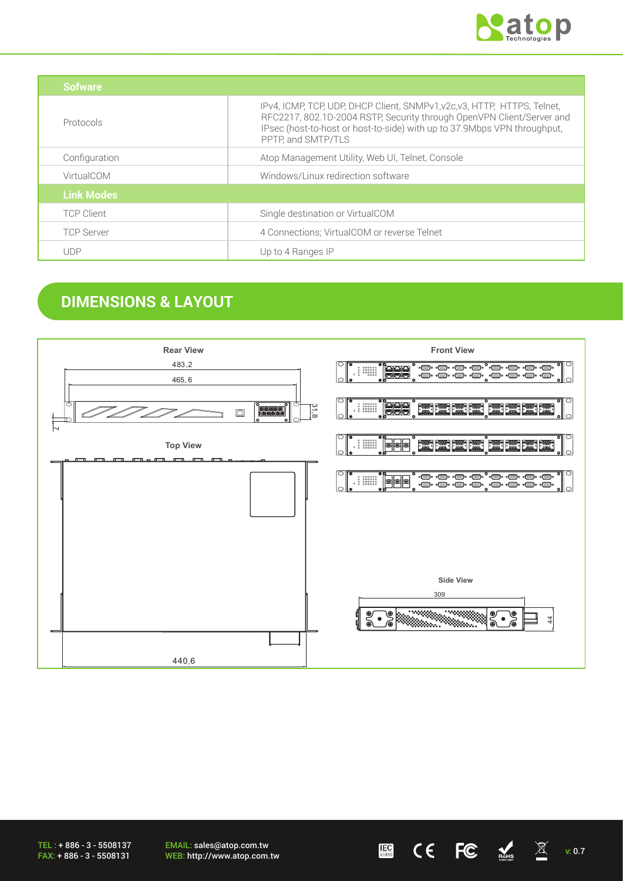

| Sofware           |                                                                                                                                                                                                                                                     |
|-------------------|-----------------------------------------------------------------------------------------------------------------------------------------------------------------------------------------------------------------------------------------------------|
| Protocols         | IPv4, ICMP, TCP, UDP, DHCP Client, SNMPv1, v2c, v3, HTTP, HTTPS, Telnet,<br>RFC2217, 802.1D-2004 RSTP, Security through OpenVPN Client/Server and<br>IPsec (host-to-host or host-to-side) with up to 37.9Mbps VPN throughput,<br>PPTP, and SMTP/TLS |
| Configuration     | Atop Management Utility, Web UI, Telnet, Console                                                                                                                                                                                                    |
| VirtualCOM        | Windows/Linux redirection software                                                                                                                                                                                                                  |
| <b>Link Modes</b> |                                                                                                                                                                                                                                                     |
| <b>TCP Client</b> | Single destination or VirtualCOM                                                                                                                                                                                                                    |
| <b>TCP Server</b> | 4 Connections; VirtualCOM or reverse Telnet                                                                                                                                                                                                         |
| <b>UDP</b>        | Up to 4 Ranges IP                                                                                                                                                                                                                                   |

## **DIMENSIONS & LAYOUT**



EMAIL: sales@atop.com.tw EMAIL: sales@atop.com.tw 
WEB: http://www.atop.com.tw 
WEB: http://www.atop.com.tw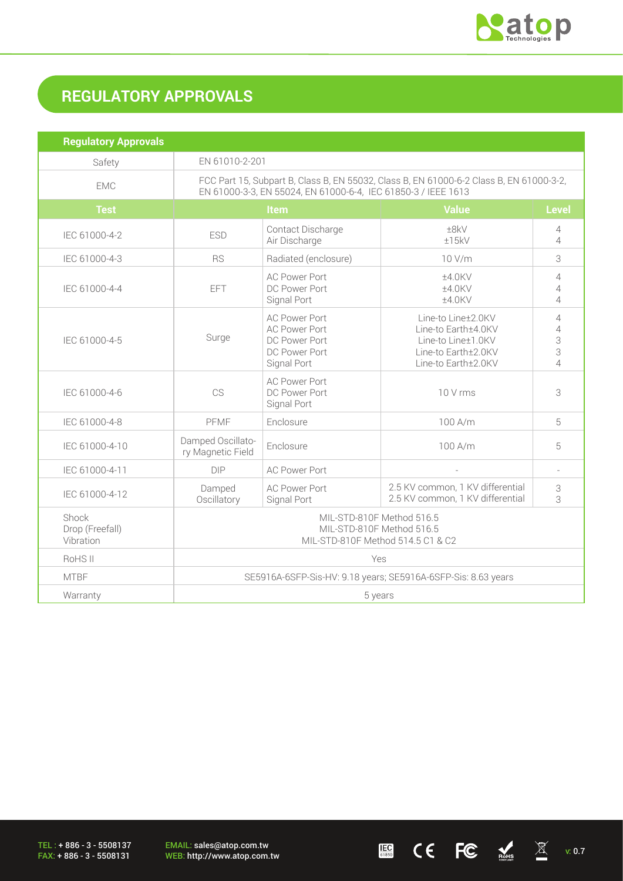

 $\underline{\mathbb{E}}$  (  $\overline{\mathbb{E}}$   $\overline{\mathbb{E}}$   $\overline{\mathbb{E}}$  v: 0.7

# **REGULATORY APPROVALS**

| <b>Regulatory Approvals</b>           |                                                                                                                                                          |                                                                                               |                                                                                                               |                                                                        |
|---------------------------------------|----------------------------------------------------------------------------------------------------------------------------------------------------------|-----------------------------------------------------------------------------------------------|---------------------------------------------------------------------------------------------------------------|------------------------------------------------------------------------|
| Safety                                | EN 61010-2-201                                                                                                                                           |                                                                                               |                                                                                                               |                                                                        |
| <b>EMC</b>                            | FCC Part 15, Subpart B, Class B, EN 55032, Class B, EN 61000-6-2 Class B, EN 61000-3-2,<br>EN 61000-3-3, EN 55024, EN 61000-6-4, IEC 61850-3 / IEEE 1613 |                                                                                               |                                                                                                               |                                                                        |
| <b>Test</b>                           | <b>Value</b><br><b>Level</b><br>Item                                                                                                                     |                                                                                               |                                                                                                               |                                                                        |
| IEC 61000-4-2                         | <b>ESD</b>                                                                                                                                               | Contact Discharge<br>Air Discharge                                                            | ±8kV<br>±15kV                                                                                                 | 4<br>$\overline{4}$                                                    |
| IEC 61000-4-3                         | <b>RS</b>                                                                                                                                                | Radiated (enclosure)                                                                          | 10 V/m                                                                                                        | 3                                                                      |
| IEC 61000-4-4                         | EFT                                                                                                                                                      | <b>AC Power Port</b><br>DC Power Port<br>Signal Port                                          | ±4.0KV<br>±4.0KV<br>±4.0KV                                                                                    | 4<br>$\overline{4}$<br>$\overline{4}$                                  |
| IEC 61000-4-5                         | Surge                                                                                                                                                    | <b>AC Power Port</b><br><b>AC Power Port</b><br>DC Power Port<br>DC Power Port<br>Signal Port | Line-to Line±2.0KV<br>Line-to Earth±4.0KV<br>Line-to Line±1.0KV<br>Line-to Earth±2.0KV<br>Line-to Earth±2.0KV | $\overline{4}$<br>$\overline{4}$<br>3<br>3<br>$\overline{\mathcal{L}}$ |
| IEC 61000-4-6                         | CS                                                                                                                                                       | <b>AC Power Port</b><br>DC Power Port<br>Signal Port                                          | 10 V rms                                                                                                      | 3                                                                      |
| IEC 61000-4-8                         | PFMF                                                                                                                                                     | Enclosure                                                                                     | 100 A/m                                                                                                       | 5                                                                      |
| IEC 61000-4-10                        | Damped Oscillato-<br>ry Magnetic Field                                                                                                                   | Enclosure                                                                                     | 100 A/m                                                                                                       | 5                                                                      |
| IEC 61000-4-11                        | <b>DIP</b>                                                                                                                                               | <b>AC Power Port</b>                                                                          |                                                                                                               | $\overline{\phantom{a}}$                                               |
| IEC 61000-4-12                        | Damped<br>Oscillatory                                                                                                                                    | <b>AC Power Port</b><br>Signal Port                                                           | 2.5 KV common, 1 KV differential<br>2.5 KV common, 1 KV differential                                          | 3<br>3                                                                 |
| Shock<br>Drop (Freefall)<br>Vibration | MIL-STD-810F Method 516.5<br>MIL-STD-810F Method 516.5<br>MIL-STD-810F Method 514.5 C1 & C2                                                              |                                                                                               |                                                                                                               |                                                                        |
| RoHS II                               | Yes                                                                                                                                                      |                                                                                               |                                                                                                               |                                                                        |
| <b>MTBF</b>                           | SE5916A-6SFP-Sis-HV: 9.18 years; SE5916A-6SFP-Sis: 8.63 years                                                                                            |                                                                                               |                                                                                                               |                                                                        |
| Warranty                              | 5 years                                                                                                                                                  |                                                                                               |                                                                                                               |                                                                        |